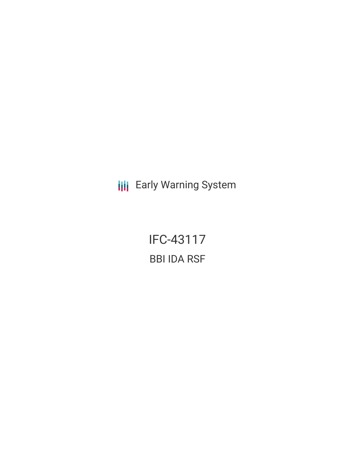**III** Early Warning System

IFC-43117 BBI IDA RSF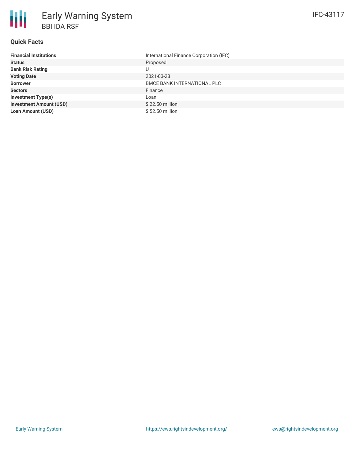# **Quick Facts**

| <b>Financial Institutions</b>  | International Finance Corporation (IFC) |
|--------------------------------|-----------------------------------------|
| <b>Status</b>                  | Proposed                                |
| <b>Bank Risk Rating</b>        |                                         |
| <b>Voting Date</b>             | 2021-03-28                              |
| <b>Borrower</b>                | <b>BMCE BANK INTERNATIONAL PLC</b>      |
| <b>Sectors</b>                 | Finance                                 |
| <b>Investment Type(s)</b>      | Loan                                    |
| <b>Investment Amount (USD)</b> | \$22.50 million                         |
| <b>Loan Amount (USD)</b>       | \$52.50 million                         |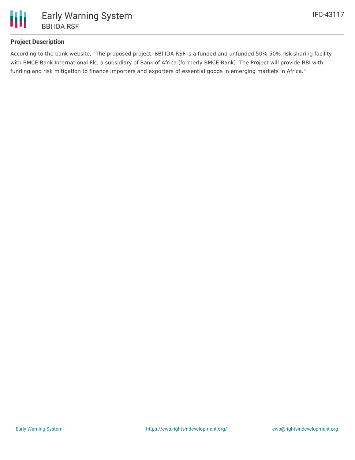

## **Project Description**

According to the bank website, "The proposed project, BBI IDA RSF is a funded and unfunded 50%-50% risk sharing facility with BMCE Bank International Plc, a subsidiary of Bank of Africa (formerly BMCE Bank). The Project will provide BBI with funding and risk mitigation to finance importers and exporters of essential goods in emerging markets in Africa."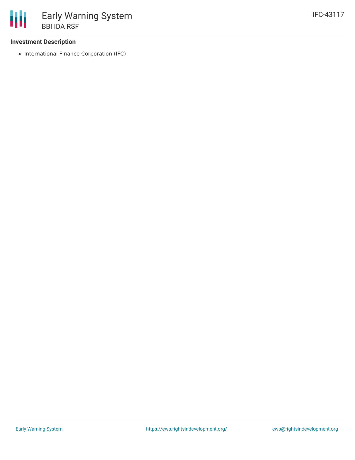#### **Investment Description**

• International Finance Corporation (IFC)